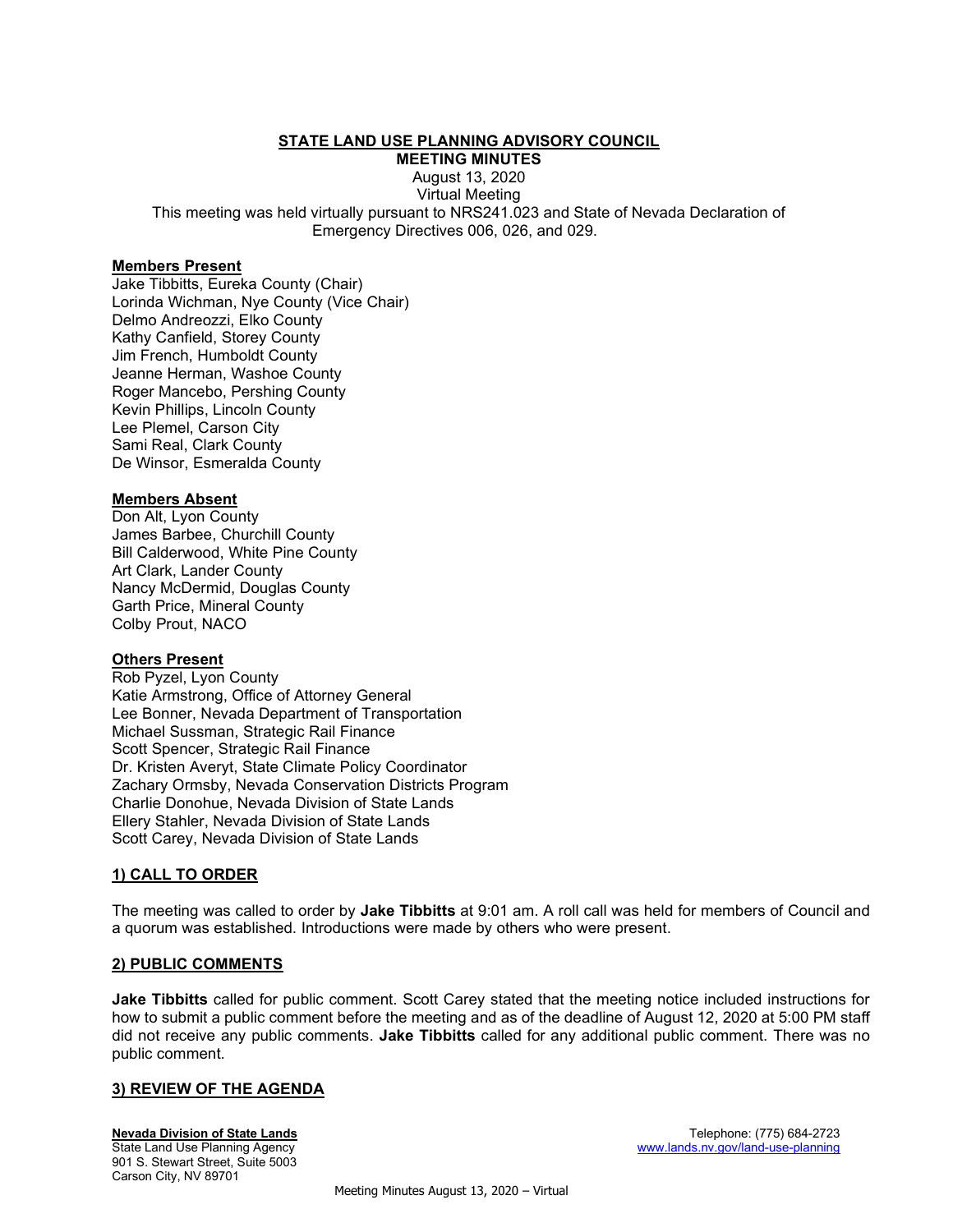# STATE LAND USE PLANNING ADVISORY COUNCIL

MEETING MINUTES

August 13, 2020 Virtual Meeting This meeting was held virtually pursuant to NRS241.023 and State of Nevada Declaration of Emergency Directives 006, 026, and 029.

#### Members Present

Jake Tibbitts, Eureka County (Chair) Lorinda Wichman, Nye County (Vice Chair) Delmo Andreozzi, Elko County Kathy Canfield, Storey County Jim French, Humboldt County Jeanne Herman, Washoe County Roger Mancebo, Pershing County Kevin Phillips, Lincoln County Lee Plemel, Carson City Sami Real, Clark County De Winsor, Esmeralda County

# Members Absent

Don Alt, Lyon County James Barbee, Churchill County Bill Calderwood, White Pine County Art Clark, Lander County Nancy McDermid, Douglas County Garth Price, Mineral County Colby Prout, NACO

#### **Others Present**

Rob Pyzel, Lyon County Katie Armstrong, Office of Attorney General Lee Bonner, Nevada Department of Transportation Michael Sussman, Strategic Rail Finance Scott Spencer, Strategic Rail Finance Dr. Kristen Averyt, State Climate Policy Coordinator Zachary Ormsby, Nevada Conservation Districts Program Charlie Donohue, Nevada Division of State Lands Ellery Stahler, Nevada Division of State Lands Scott Carey, Nevada Division of State Lands

# 1) CALL TO ORDER

The meeting was called to order by **Jake Tibbitts** at 9:01 am. A roll call was held for members of Council and a quorum was established. Introductions were made by others who were present.

#### 2) PUBLIC COMMENTS

Jake Tibbitts called for public comment. Scott Carey stated that the meeting notice included instructions for how to submit a public comment before the meeting and as of the deadline of August 12, 2020 at 5:00 PM staff did not receive any public comments. Jake Tibbitts called for any additional public comment. There was no public comment.

#### 3) REVIEW OF THE AGENDA

901 S. Stewart Street, Suite 5003 Carson City, NV 89701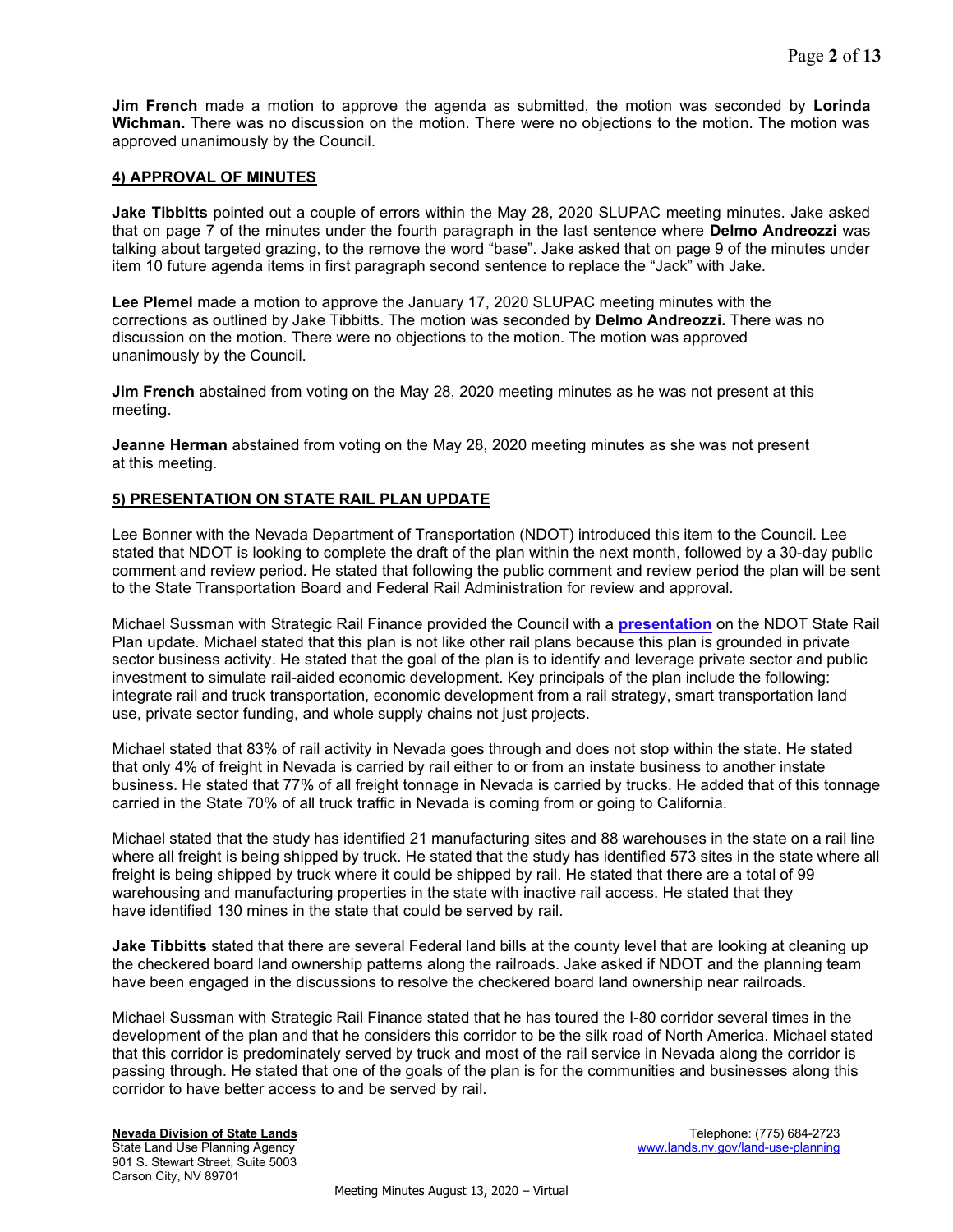**Jim French** made a motion to approve the agenda as submitted, the motion was seconded by **Lorinda** Wichman. There was no discussion on the motion. There were no objections to the motion. The motion was approved unanimously by the Council.

### 4) APPROVAL OF MINUTES

Jake Tibbitts pointed out a couple of errors within the May 28, 2020 SLUPAC meeting minutes. Jake asked that on page 7 of the minutes under the fourth paragraph in the last sentence where Delmo Andreozzi was talking about targeted grazing, to the remove the word "base". Jake asked that on page 9 of the minutes under item 10 future agenda items in first paragraph second sentence to replace the "Jack" with Jake.

Lee Plemel made a motion to approve the January 17, 2020 SLUPAC meeting minutes with the corrections as outlined by Jake Tibbitts. The motion was seconded by Delmo Andreozzi. There was no discussion on the motion. There were no objections to the motion. The motion was approved unanimously by the Council.

Jim French abstained from voting on the May 28, 2020 meeting minutes as he was not present at this meeting.

Jeanne Herman abstained from voting on the May 28, 2020 meeting minutes as she was not present at this meeting.

# 5) PRESENTATION ON STATE RAIL PLAN UPDATE

Lee Bonner with the Nevada Department of Transportation (NDOT) introduced this item to the Council. Lee stated that NDOT is looking to complete the draft of the plan within the next month, followed by a 30-day public comment and review period. He stated that following the public comment and review period the plan will be sent to the State Transportation Board and Federal Rail Administration for review and approval.

Michael Sussman with Strategic Rail Finance provided the Council with a **presentation** on the NDOT State Rail Plan update. Michael stated that this plan is not like other rail plans because this plan is grounded in private sector business activity. He stated that the goal of the plan is to identify and leverage private sector and public investment to simulate rail-aided economic development. Key principals of the plan include the following: integrate rail and truck transportation, economic development from a rail strategy, smart transportation land use, private sector funding, and whole supply chains not just projects.

Michael stated that 83% of rail activity in Nevada goes through and does not stop within the state. He stated that only 4% of freight in Nevada is carried by rail either to or from an instate business to another instate business. He stated that 77% of all freight tonnage in Nevada is carried by trucks. He added that of this tonnage carried in the State 70% of all truck traffic in Nevada is coming from or going to California.

Michael stated that the study has identified 21 manufacturing sites and 88 warehouses in the state on a rail line where all freight is being shipped by truck. He stated that the study has identified 573 sites in the state where all freight is being shipped by truck where it could be shipped by rail. He stated that there are a total of 99 warehousing and manufacturing properties in the state with inactive rail access. He stated that they have identified 130 mines in the state that could be served by rail.

**Jake Tibbitts** stated that there are several Federal land bills at the county level that are looking at cleaning up the checkered board land ownership patterns along the railroads. Jake asked if NDOT and the planning team have been engaged in the discussions to resolve the checkered board land ownership near railroads.

Michael Sussman with Strategic Rail Finance stated that he has toured the I-80 corridor several times in the development of the plan and that he considers this corridor to be the silk road of North America. Michael stated that this corridor is predominately served by truck and most of the rail service in Nevada along the corridor is passing through. He stated that one of the goals of the plan is for the communities and businesses along this corridor to have better access to and be served by rail.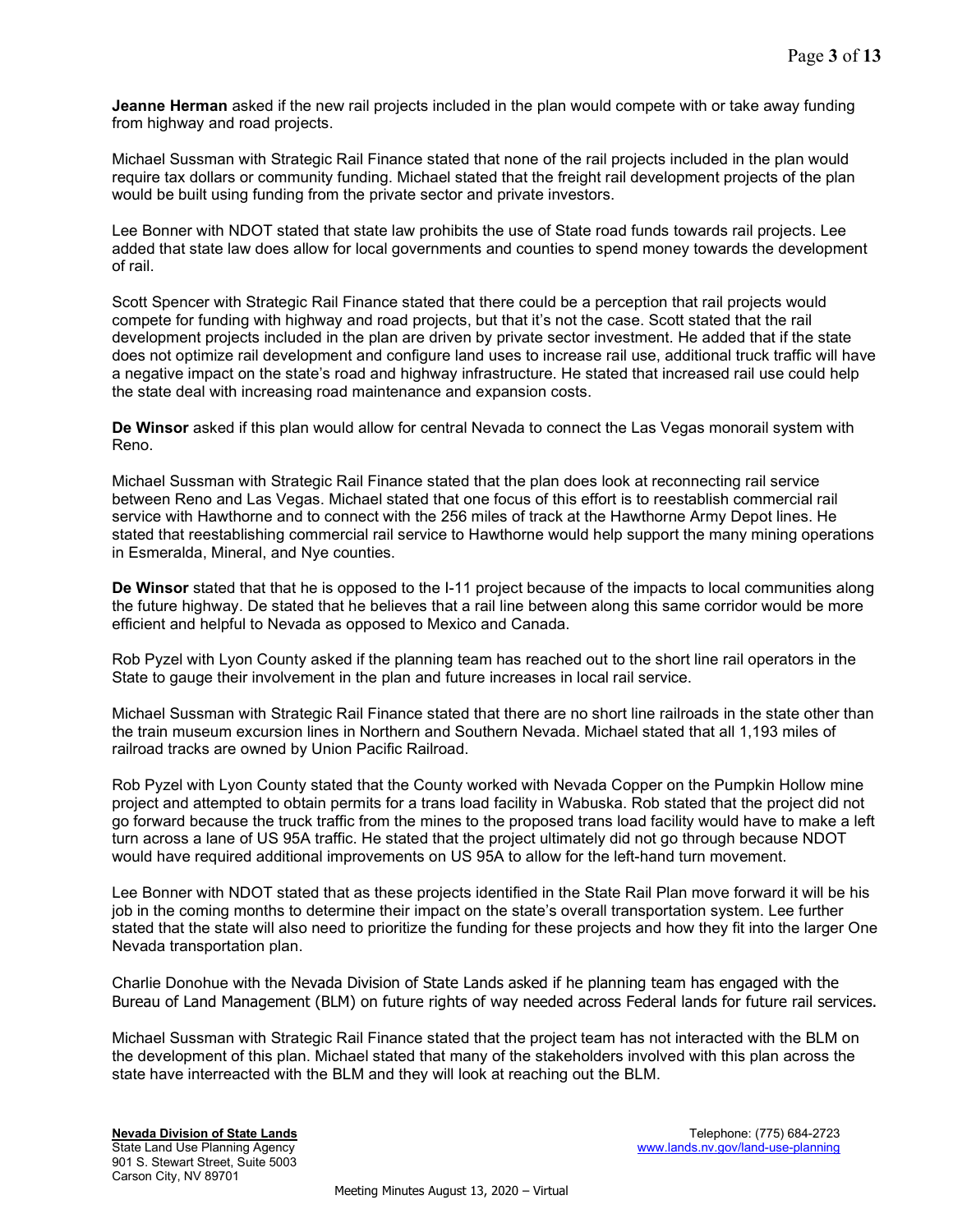**Jeanne Herman** asked if the new rail projects included in the plan would compete with or take away funding from highway and road projects.

Michael Sussman with Strategic Rail Finance stated that none of the rail projects included in the plan would require tax dollars or community funding. Michael stated that the freight rail development projects of the plan would be built using funding from the private sector and private investors.

Lee Bonner with NDOT stated that state law prohibits the use of State road funds towards rail projects. Lee added that state law does allow for local governments and counties to spend money towards the development of rail.

Scott Spencer with Strategic Rail Finance stated that there could be a perception that rail projects would compete for funding with highway and road projects, but that it's not the case. Scott stated that the rail development projects included in the plan are driven by private sector investment. He added that if the state does not optimize rail development and configure land uses to increase rail use, additional truck traffic will have a negative impact on the state's road and highway infrastructure. He stated that increased rail use could help the state deal with increasing road maintenance and expansion costs.

De Winsor asked if this plan would allow for central Nevada to connect the Las Vegas monorail system with Reno.

Michael Sussman with Strategic Rail Finance stated that the plan does look at reconnecting rail service between Reno and Las Vegas. Michael stated that one focus of this effort is to reestablish commercial rail service with Hawthorne and to connect with the 256 miles of track at the Hawthorne Army Depot lines. He stated that reestablishing commercial rail service to Hawthorne would help support the many mining operations in Esmeralda, Mineral, and Nye counties.

De Winsor stated that that he is opposed to the I-11 project because of the impacts to local communities along the future highway. De stated that he believes that a rail line between along this same corridor would be more efficient and helpful to Nevada as opposed to Mexico and Canada.

Rob Pyzel with Lyon County asked if the planning team has reached out to the short line rail operators in the State to gauge their involvement in the plan and future increases in local rail service.

Michael Sussman with Strategic Rail Finance stated that there are no short line railroads in the state other than the train museum excursion lines in Northern and Southern Nevada. Michael stated that all 1,193 miles of railroad tracks are owned by Union Pacific Railroad.

Rob Pyzel with Lyon County stated that the County worked with Nevada Copper on the Pumpkin Hollow mine project and attempted to obtain permits for a trans load facility in Wabuska. Rob stated that the project did not go forward because the truck traffic from the mines to the proposed trans load facility would have to make a left turn across a lane of US 95A traffic. He stated that the project ultimately did not go through because NDOT would have required additional improvements on US 95A to allow for the left-hand turn movement.

Lee Bonner with NDOT stated that as these projects identified in the State Rail Plan move forward it will be his job in the coming months to determine their impact on the state's overall transportation system. Lee further stated that the state will also need to prioritize the funding for these projects and how they fit into the larger One Nevada transportation plan.

Charlie Donohue with the Nevada Division of State Lands asked if he planning team has engaged with the Bureau of Land Management (BLM) on future rights of way needed across Federal lands for future rail services.

Michael Sussman with Strategic Rail Finance stated that the project team has not interacted with the BLM on the development of this plan. Michael stated that many of the stakeholders involved with this plan across the state have interreacted with the BLM and they will look at reaching out the BLM.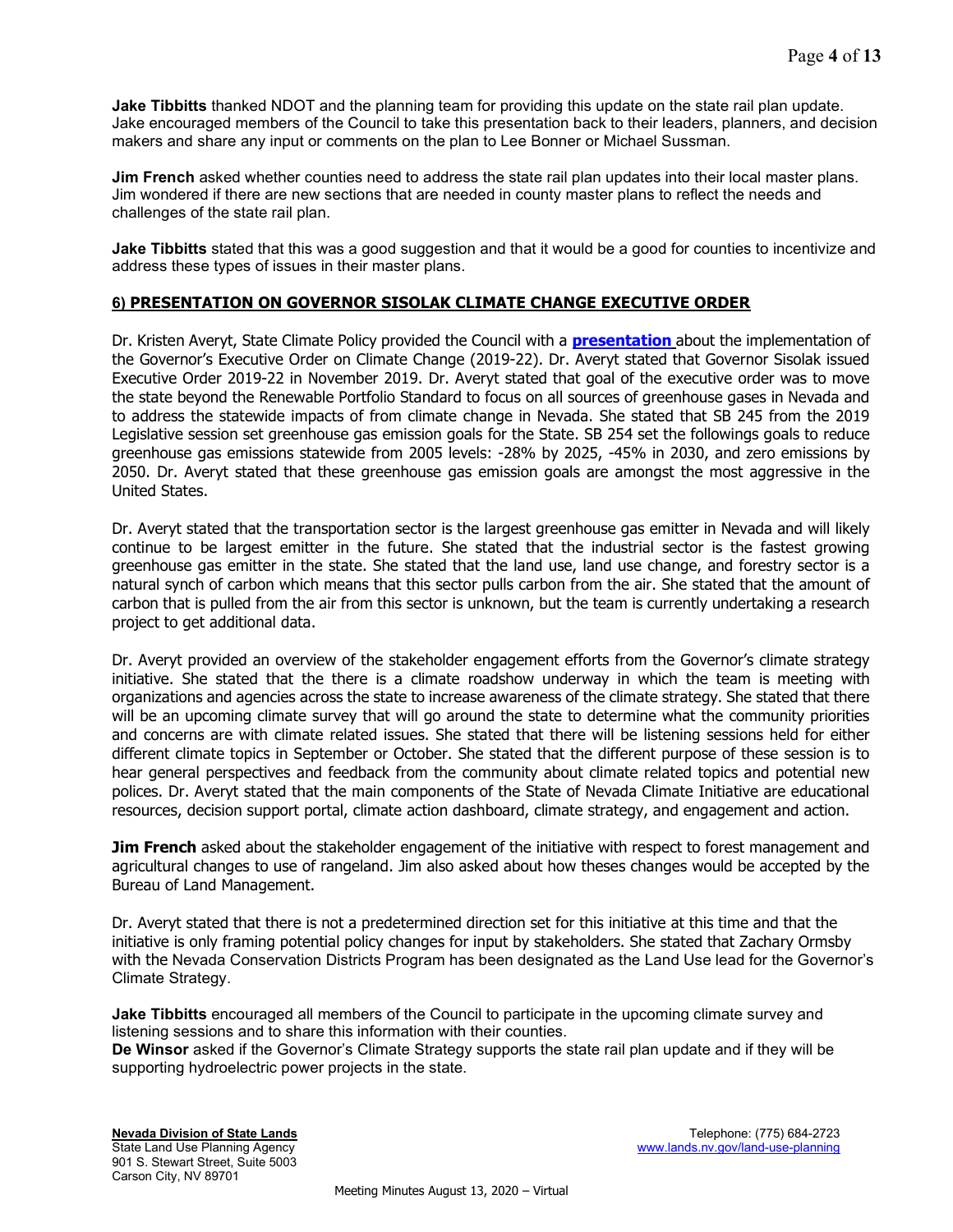Jake Tibbitts thanked NDOT and the planning team for providing this update on the state rail plan update. Jake encouraged members of the Council to take this presentation back to their leaders, planners, and decision makers and share any input or comments on the plan to Lee Bonner or Michael Sussman.

Jim French asked whether counties need to address the state rail plan updates into their local master plans. Jim wondered if there are new sections that are needed in county master plans to reflect the needs and challenges of the state rail plan.

Jake Tibbitts stated that this was a good suggestion and that it would be a good for counties to incentivize and address these types of issues in their master plans.

# 6) PRESENTATION ON GOVERNOR SISOLAK CLIMATE CHANGE EXECUTIVE ORDER

Dr. Kristen Averyt, State Climate Policy provided the Council with a **presentation** about the implementation of the Governor's Executive Order on Climate Change (2019-22). Dr. Averyt stated that Governor Sisolak issued Executive Order 2019-22 in November 2019. Dr. Averyt stated that goal of the executive order was to move the state beyond the Renewable Portfolio Standard to focus on all sources of greenhouse gases in Nevada and to address the statewide impacts of from climate change in Nevada. She stated that SB 245 from the 2019 Legislative session set greenhouse gas emission goals for the State. SB 254 set the followings goals to reduce greenhouse gas emissions statewide from 2005 levels: -28% by 2025, -45% in 2030, and zero emissions by 2050. Dr. Averyt stated that these greenhouse gas emission goals are amongst the most aggressive in the United States.

Dr. Averyt stated that the transportation sector is the largest greenhouse gas emitter in Nevada and will likely continue to be largest emitter in the future. She stated that the industrial sector is the fastest growing greenhouse gas emitter in the state. She stated that the land use, land use change, and forestry sector is a natural synch of carbon which means that this sector pulls carbon from the air. She stated that the amount of carbon that is pulled from the air from this sector is unknown, but the team is currently undertaking a research project to get additional data.

Dr. Averyt provided an overview of the stakeholder engagement efforts from the Governor's climate strategy initiative. She stated that the there is a climate roadshow underway in which the team is meeting with organizations and agencies across the state to increase awareness of the climate strategy. She stated that there will be an upcoming climate survey that will go around the state to determine what the community priorities and concerns are with climate related issues. She stated that there will be listening sessions held for either different climate topics in September or October. She stated that the different purpose of these session is to hear general perspectives and feedback from the community about climate related topics and potential new polices. Dr. Averyt stated that the main components of the State of Nevada Climate Initiative are educational resources, decision support portal, climate action dashboard, climate strategy, and engagement and action.

**Jim French** asked about the stakeholder engagement of the initiative with respect to forest management and agricultural changes to use of rangeland. Jim also asked about how theses changes would be accepted by the Bureau of Land Management.

Dr. Averyt stated that there is not a predetermined direction set for this initiative at this time and that the initiative is only framing potential policy changes for input by stakeholders. She stated that Zachary Ormsby with the Nevada Conservation Districts Program has been designated as the Land Use lead for the Governor's Climate Strategy.

**Jake Tibbitts** encouraged all members of the Council to participate in the upcoming climate survey and listening sessions and to share this information with their counties.

De Winsor asked if the Governor's Climate Strategy supports the state rail plan update and if they will be supporting hydroelectric power projects in the state.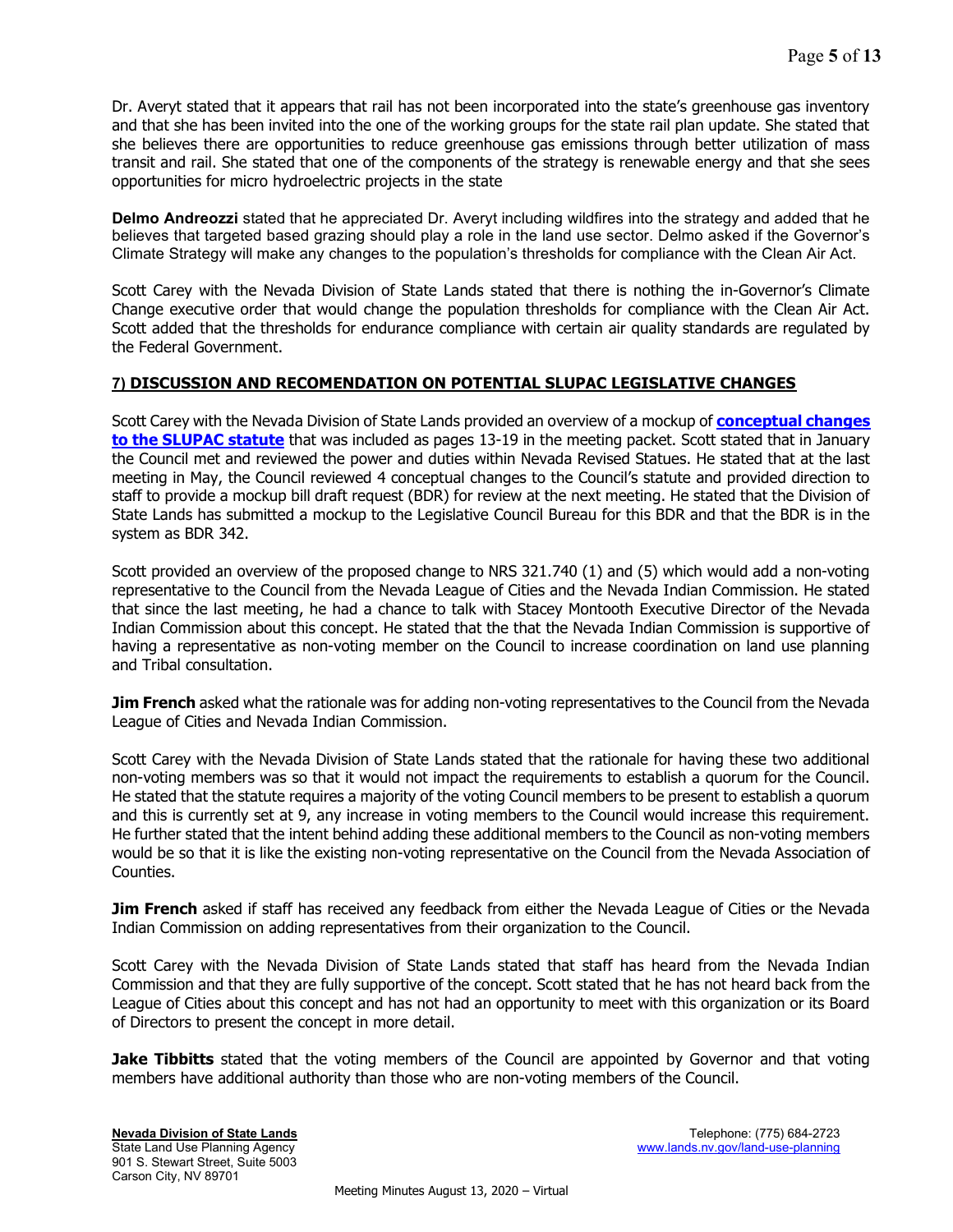Dr. Averyt stated that it appears that rail has not been incorporated into the state's greenhouse gas inventory and that she has been invited into the one of the working groups for the state rail plan update. She stated that she believes there are opportunities to reduce greenhouse gas emissions through better utilization of mass transit and rail. She stated that one of the components of the strategy is renewable energy and that she sees opportunities for micro hydroelectric projects in the state

Delmo Andreozzi stated that he appreciated Dr. Averyt including wildfires into the strategy and added that he believes that targeted based grazing should play a role in the land use sector. Delmo asked if the Governor's Climate Strategy will make any changes to the population's thresholds for compliance with the Clean Air Act.

Scott Carey with the Nevada Division of State Lands stated that there is nothing the in-Governor's Climate Change executive order that would change the population thresholds for compliance with the Clean Air Act. Scott added that the thresholds for endurance compliance with certain air quality standards are regulated by the Federal Government.

# 7) DISCUSSION AND RECOMENDATION ON POTENTIAL SLUPAC LEGISLATIVE CHANGES

Scott Carey with the Nevada Division of State Lands provided an overview of a mockup of **conceptual changes** to the SLUPAC statute that was included as pages 13-19 in the meeting packet. Scott stated that in January the Council met and reviewed the power and duties within Nevada Revised Statues. He stated that at the last meeting in May, the Council reviewed 4 conceptual changes to the Council's statute and provided direction to staff to provide a mockup bill draft request (BDR) for review at the next meeting. He stated that the Division of State Lands has submitted a mockup to the Legislative Council Bureau for this BDR and that the BDR is in the system as BDR 342.

Scott provided an overview of the proposed change to NRS 321.740 (1) and (5) which would add a non-voting representative to the Council from the Nevada League of Cities and the Nevada Indian Commission. He stated that since the last meeting, he had a chance to talk with Stacey Montooth Executive Director of the Nevada Indian Commission about this concept. He stated that the that the Nevada Indian Commission is supportive of having a representative as non-voting member on the Council to increase coordination on land use planning and Tribal consultation.

**Jim French** asked what the rationale was for adding non-voting representatives to the Council from the Nevada League of Cities and Nevada Indian Commission.

Scott Carey with the Nevada Division of State Lands stated that the rationale for having these two additional non-voting members was so that it would not impact the requirements to establish a quorum for the Council. He stated that the statute requires a majority of the voting Council members to be present to establish a quorum and this is currently set at 9, any increase in voting members to the Council would increase this requirement. He further stated that the intent behind adding these additional members to the Council as non-voting members would be so that it is like the existing non-voting representative on the Council from the Nevada Association of Counties.

**Jim French** asked if staff has received any feedback from either the Nevada League of Cities or the Nevada Indian Commission on adding representatives from their organization to the Council.

Scott Carey with the Nevada Division of State Lands stated that staff has heard from the Nevada Indian Commission and that they are fully supportive of the concept. Scott stated that he has not heard back from the League of Cities about this concept and has not had an opportunity to meet with this organization or its Board of Directors to present the concept in more detail.

Jake Tibbitts stated that the voting members of the Council are appointed by Governor and that voting members have additional authority than those who are non-voting members of the Council.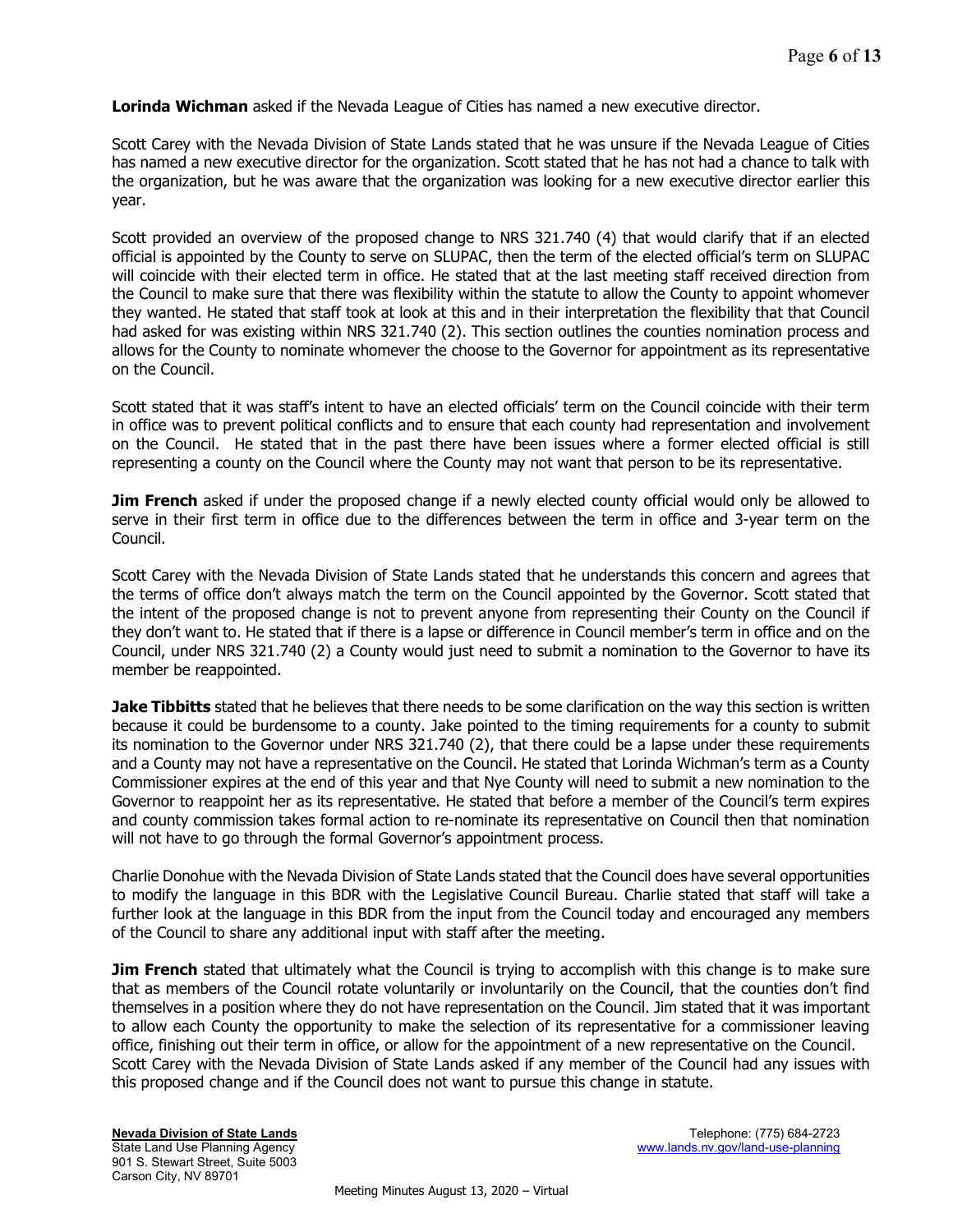**Lorinda Wichman** asked if the Nevada League of Cities has named a new executive director.

Scott Carey with the Nevada Division of State Lands stated that he was unsure if the Nevada League of Cities has named a new executive director for the organization. Scott stated that he has not had a chance to talk with the organization, but he was aware that the organization was looking for a new executive director earlier this year.

Scott provided an overview of the proposed change to NRS 321.740 (4) that would clarify that if an elected official is appointed by the County to serve on SLUPAC, then the term of the elected official's term on SLUPAC will coincide with their elected term in office. He stated that at the last meeting staff received direction from the Council to make sure that there was flexibility within the statute to allow the County to appoint whomever they wanted. He stated that staff took at look at this and in their interpretation the flexibility that that Council had asked for was existing within NRS 321.740 (2). This section outlines the counties nomination process and allows for the County to nominate whomever the choose to the Governor for appointment as its representative on the Council.

Scott stated that it was staff's intent to have an elected officials' term on the Council coincide with their term in office was to prevent political conflicts and to ensure that each county had representation and involvement on the Council. He stated that in the past there have been issues where a former elected official is still representing a county on the Council where the County may not want that person to be its representative.

**Jim French** asked if under the proposed change if a newly elected county official would only be allowed to serve in their first term in office due to the differences between the term in office and 3-year term on the Council.

Scott Carey with the Nevada Division of State Lands stated that he understands this concern and agrees that the terms of office don't always match the term on the Council appointed by the Governor. Scott stated that the intent of the proposed change is not to prevent anyone from representing their County on the Council if they don't want to. He stated that if there is a lapse or difference in Council member's term in office and on the Council, under NRS 321.740 (2) a County would just need to submit a nomination to the Governor to have its member be reappointed.

**Jake Tibbitts** stated that he believes that there needs to be some clarification on the way this section is written because it could be burdensome to a county. Jake pointed to the timing requirements for a county to submit its nomination to the Governor under NRS 321.740 (2), that there could be a lapse under these requirements and a County may not have a representative on the Council. He stated that Lorinda Wichman's term as a County Commissioner expires at the end of this year and that Nye County will need to submit a new nomination to the Governor to reappoint her as its representative. He stated that before a member of the Council's term expires and county commission takes formal action to re-nominate its representative on Council then that nomination will not have to go through the formal Governor's appointment process.

Charlie Donohue with the Nevada Division of State Lands stated that the Council does have several opportunities to modify the language in this BDR with the Legislative Council Bureau. Charlie stated that staff will take a further look at the language in this BDR from the input from the Council today and encouraged any members of the Council to share any additional input with staff after the meeting.

**Jim French** stated that ultimately what the Council is trying to accomplish with this change is to make sure that as members of the Council rotate voluntarily or involuntarily on the Council, that the counties don't find themselves in a position where they do not have representation on the Council. Jim stated that it was important to allow each County the opportunity to make the selection of its representative for a commissioner leaving office, finishing out their term in office, or allow for the appointment of a new representative on the Council. Scott Carey with the Nevada Division of State Lands asked if any member of the Council had any issues with this proposed change and if the Council does not want to pursue this change in statute.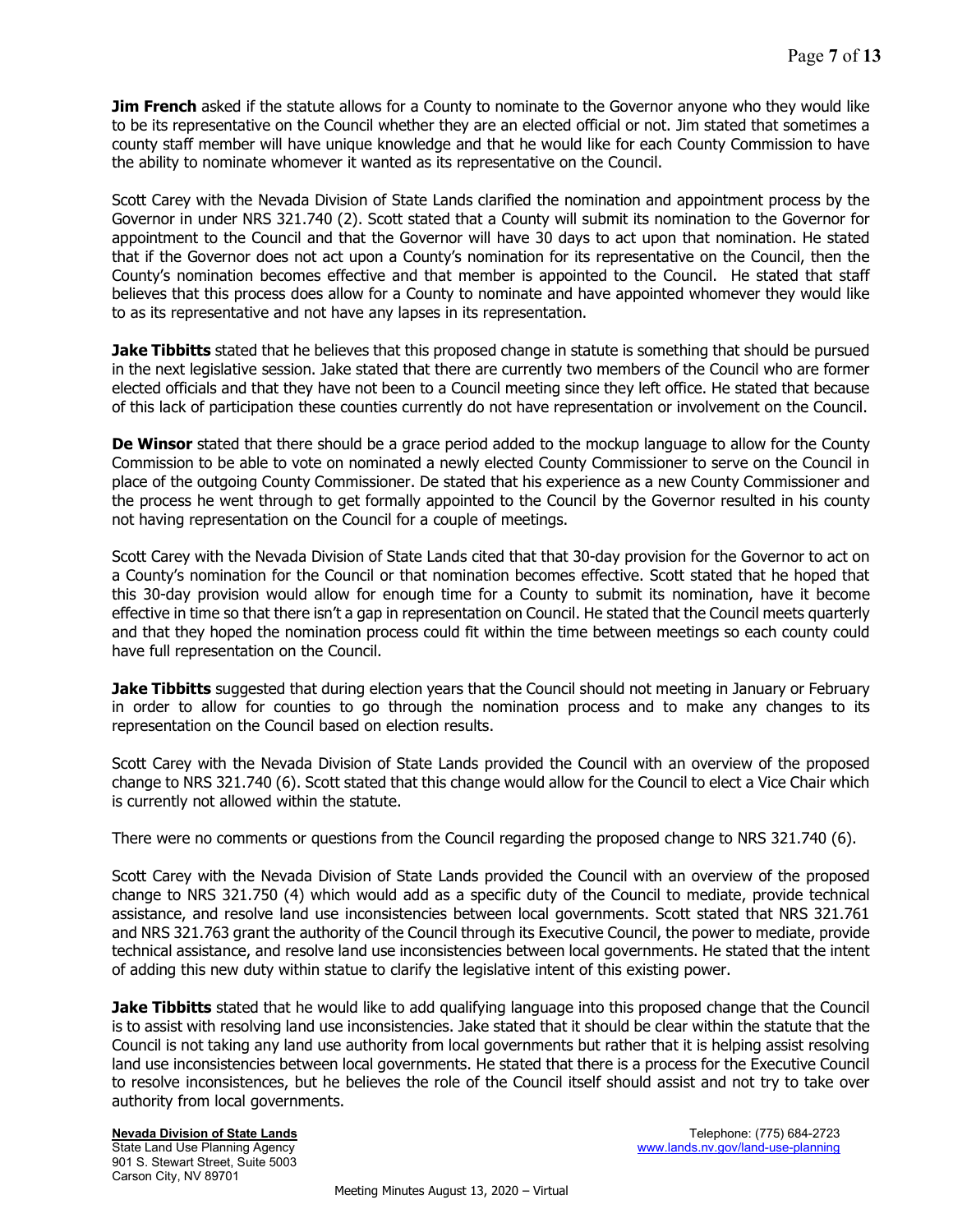**Jim French** asked if the statute allows for a County to nominate to the Governor anyone who they would like to be its representative on the Council whether they are an elected official or not. Jim stated that sometimes a county staff member will have unique knowledge and that he would like for each County Commission to have the ability to nominate whomever it wanted as its representative on the Council.

Scott Carey with the Nevada Division of State Lands clarified the nomination and appointment process by the Governor in under NRS 321.740 (2). Scott stated that a County will submit its nomination to the Governor for appointment to the Council and that the Governor will have 30 days to act upon that nomination. He stated that if the Governor does not act upon a County's nomination for its representative on the Council, then the County's nomination becomes effective and that member is appointed to the Council. He stated that staff believes that this process does allow for a County to nominate and have appointed whomever they would like to as its representative and not have any lapses in its representation.

Jake Tibbitts stated that he believes that this proposed change in statute is something that should be pursued in the next legislative session. Jake stated that there are currently two members of the Council who are former elected officials and that they have not been to a Council meeting since they left office. He stated that because of this lack of participation these counties currently do not have representation or involvement on the Council.

De Winsor stated that there should be a grace period added to the mockup language to allow for the County Commission to be able to vote on nominated a newly elected County Commissioner to serve on the Council in place of the outgoing County Commissioner. De stated that his experience as a new County Commissioner and the process he went through to get formally appointed to the Council by the Governor resulted in his county not having representation on the Council for a couple of meetings.

Scott Carey with the Nevada Division of State Lands cited that that 30-day provision for the Governor to act on a County's nomination for the Council or that nomination becomes effective. Scott stated that he hoped that this 30-day provision would allow for enough time for a County to submit its nomination, have it become effective in time so that there isn't a gap in representation on Council. He stated that the Council meets quarterly and that they hoped the nomination process could fit within the time between meetings so each county could have full representation on the Council.

**Jake Tibbitts** suggested that during election years that the Council should not meeting in January or February in order to allow for counties to go through the nomination process and to make any changes to its representation on the Council based on election results.

Scott Carey with the Nevada Division of State Lands provided the Council with an overview of the proposed change to NRS 321.740 (6). Scott stated that this change would allow for the Council to elect a Vice Chair which is currently not allowed within the statute.

There were no comments or questions from the Council regarding the proposed change to NRS 321.740 (6).

Scott Carey with the Nevada Division of State Lands provided the Council with an overview of the proposed change to NRS 321.750 (4) which would add as a specific duty of the Council to mediate, provide technical assistance, and resolve land use inconsistencies between local governments. Scott stated that NRS 321.761 and NRS 321.763 grant the authority of the Council through its Executive Council, the power to mediate, provide technical assistance, and resolve land use inconsistencies between local governments. He stated that the intent of adding this new duty within statue to clarify the legislative intent of this existing power.

**Jake Tibbitts** stated that he would like to add qualifying language into this proposed change that the Council is to assist with resolving land use inconsistencies. Jake stated that it should be clear within the statute that the Council is not taking any land use authority from local governments but rather that it is helping assist resolving land use inconsistencies between local governments. He stated that there is a process for the Executive Council to resolve inconsistences, but he believes the role of the Council itself should assist and not try to take over authority from local governments.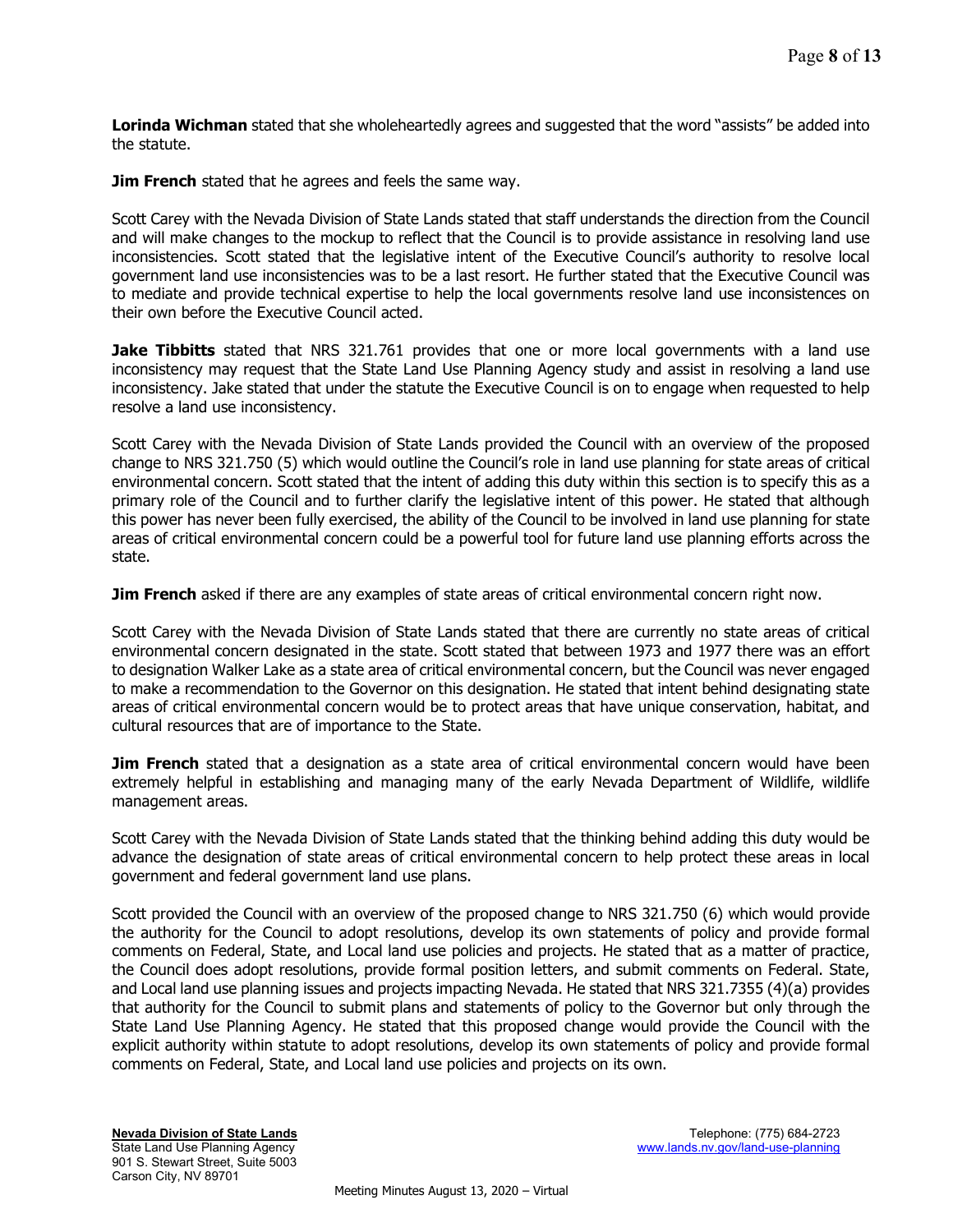**Lorinda Wichman** stated that she wholeheartedly agrees and suggested that the word "assists" be added into the statute.

**Jim French** stated that he agrees and feels the same way.

Scott Carey with the Nevada Division of State Lands stated that staff understands the direction from the Council and will make changes to the mockup to reflect that the Council is to provide assistance in resolving land use inconsistencies. Scott stated that the legislative intent of the Executive Council's authority to resolve local government land use inconsistencies was to be a last resort. He further stated that the Executive Council was to mediate and provide technical expertise to help the local governments resolve land use inconsistences on their own before the Executive Council acted.

Jake Tibbitts stated that NRS 321.761 provides that one or more local governments with a land use inconsistency may request that the State Land Use Planning Agency study and assist in resolving a land use inconsistency. Jake stated that under the statute the Executive Council is on to engage when requested to help resolve a land use inconsistency.

Scott Carey with the Nevada Division of State Lands provided the Council with an overview of the proposed change to NRS 321.750 (5) which would outline the Council's role in land use planning for state areas of critical environmental concern. Scott stated that the intent of adding this duty within this section is to specify this as a primary role of the Council and to further clarify the legislative intent of this power. He stated that although this power has never been fully exercised, the ability of the Council to be involved in land use planning for state areas of critical environmental concern could be a powerful tool for future land use planning efforts across the state.

**Jim French** asked if there are any examples of state areas of critical environmental concern right now.

Scott Carey with the Nevada Division of State Lands stated that there are currently no state areas of critical environmental concern designated in the state. Scott stated that between 1973 and 1977 there was an effort to designation Walker Lake as a state area of critical environmental concern, but the Council was never engaged to make a recommendation to the Governor on this designation. He stated that intent behind designating state areas of critical environmental concern would be to protect areas that have unique conservation, habitat, and cultural resources that are of importance to the State.

**Jim French** stated that a designation as a state area of critical environmental concern would have been extremely helpful in establishing and managing many of the early Nevada Department of Wildlife, wildlife management areas.

Scott Carey with the Nevada Division of State Lands stated that the thinking behind adding this duty would be advance the designation of state areas of critical environmental concern to help protect these areas in local government and federal government land use plans.

Scott provided the Council with an overview of the proposed change to NRS 321.750 (6) which would provide the authority for the Council to adopt resolutions, develop its own statements of policy and provide formal comments on Federal, State, and Local land use policies and projects. He stated that as a matter of practice, the Council does adopt resolutions, provide formal position letters, and submit comments on Federal. State, and Local land use planning issues and projects impacting Nevada. He stated that NRS 321.7355 (4)(a) provides that authority for the Council to submit plans and statements of policy to the Governor but only through the State Land Use Planning Agency. He stated that this proposed change would provide the Council with the explicit authority within statute to adopt resolutions, develop its own statements of policy and provide formal comments on Federal, State, and Local land use policies and projects on its own.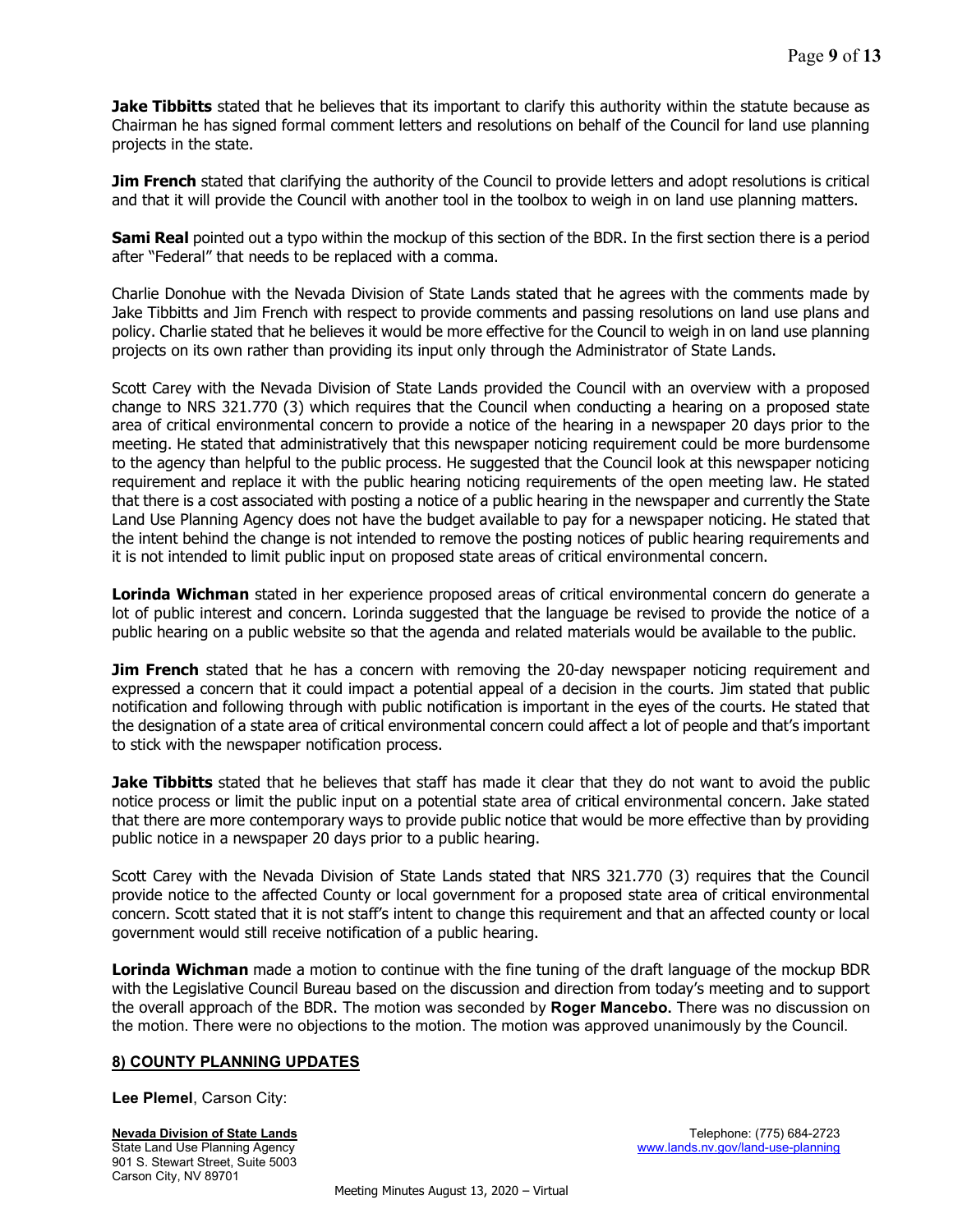**Jake Tibbitts** stated that he believes that its important to clarify this authority within the statute because as Chairman he has signed formal comment letters and resolutions on behalf of the Council for land use planning projects in the state.

**Jim French** stated that clarifying the authority of the Council to provide letters and adopt resolutions is critical and that it will provide the Council with another tool in the toolbox to weigh in on land use planning matters.

**Sami Real** pointed out a typo within the mockup of this section of the BDR. In the first section there is a period after "Federal" that needs to be replaced with a comma.

Charlie Donohue with the Nevada Division of State Lands stated that he agrees with the comments made by Jake Tibbitts and Jim French with respect to provide comments and passing resolutions on land use plans and policy. Charlie stated that he believes it would be more effective for the Council to weigh in on land use planning projects on its own rather than providing its input only through the Administrator of State Lands.

Scott Carey with the Nevada Division of State Lands provided the Council with an overview with a proposed change to NRS 321.770 (3) which requires that the Council when conducting a hearing on a proposed state area of critical environmental concern to provide a notice of the hearing in a newspaper 20 days prior to the meeting. He stated that administratively that this newspaper noticing requirement could be more burdensome to the agency than helpful to the public process. He suggested that the Council look at this newspaper noticing requirement and replace it with the public hearing noticing requirements of the open meeting law. He stated that there is a cost associated with posting a notice of a public hearing in the newspaper and currently the State Land Use Planning Agency does not have the budget available to pay for a newspaper noticing. He stated that the intent behind the change is not intended to remove the posting notices of public hearing requirements and it is not intended to limit public input on proposed state areas of critical environmental concern.

Lorinda Wichman stated in her experience proposed areas of critical environmental concern do generate a lot of public interest and concern. Lorinda suggested that the language be revised to provide the notice of a public hearing on a public website so that the agenda and related materials would be available to the public.

**Jim French** stated that he has a concern with removing the 20-day newspaper noticing requirement and expressed a concern that it could impact a potential appeal of a decision in the courts. Jim stated that public notification and following through with public notification is important in the eyes of the courts. He stated that the designation of a state area of critical environmental concern could affect a lot of people and that's important to stick with the newspaper notification process.

**Jake Tibbitts** stated that he believes that staff has made it clear that they do not want to avoid the public notice process or limit the public input on a potential state area of critical environmental concern. Jake stated that there are more contemporary ways to provide public notice that would be more effective than by providing public notice in a newspaper 20 days prior to a public hearing.

Scott Carey with the Nevada Division of State Lands stated that NRS 321.770 (3) requires that the Council provide notice to the affected County or local government for a proposed state area of critical environmental concern. Scott stated that it is not staff's intent to change this requirement and that an affected county or local government would still receive notification of a public hearing.

Lorinda Wichman made a motion to continue with the fine tuning of the draft language of the mockup BDR with the Legislative Council Bureau based on the discussion and direction from today's meeting and to support the overall approach of the BDR. The motion was seconded by Roger Mancebo. There was no discussion on the motion. There were no objections to the motion. The motion was approved unanimously by the Council.

# 8) COUNTY PLANNING UPDATES

Lee Plemel, Carson City:

901 S. Stewart Street, Suite 5003 Carson City, NV 89701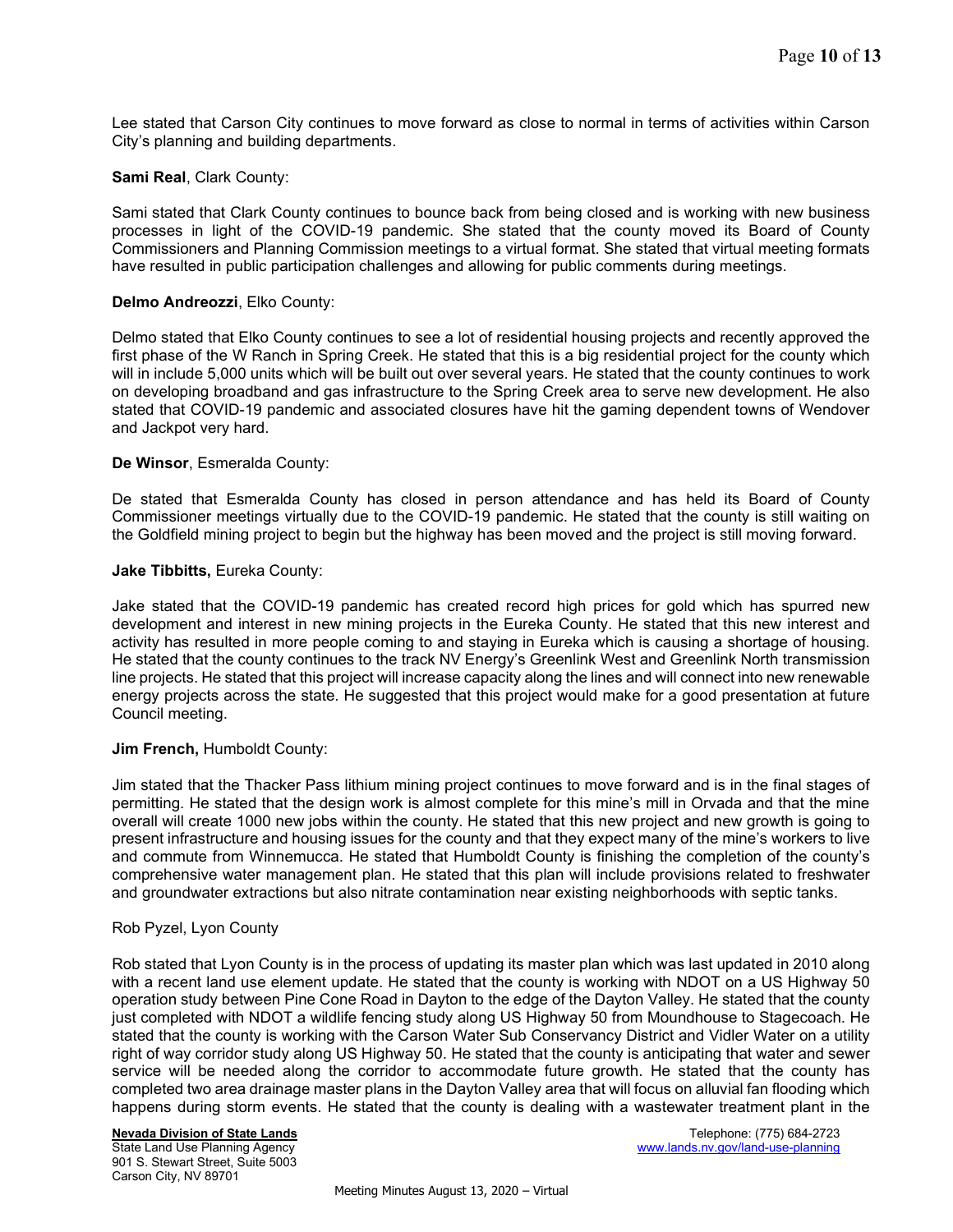Lee stated that Carson City continues to move forward as close to normal in terms of activities within Carson City's planning and building departments.

#### Sami Real, Clark County:

Sami stated that Clark County continues to bounce back from being closed and is working with new business processes in light of the COVID-19 pandemic. She stated that the county moved its Board of County Commissioners and Planning Commission meetings to a virtual format. She stated that virtual meeting formats have resulted in public participation challenges and allowing for public comments during meetings.

#### Delmo Andreozzi, Elko County:

Delmo stated that Elko County continues to see a lot of residential housing projects and recently approved the first phase of the W Ranch in Spring Creek. He stated that this is a big residential project for the county which will in include 5,000 units which will be built out over several years. He stated that the county continues to work on developing broadband and gas infrastructure to the Spring Creek area to serve new development. He also stated that COVID-19 pandemic and associated closures have hit the gaming dependent towns of Wendover and Jackpot very hard.

#### De Winsor, Esmeralda County:

De stated that Esmeralda County has closed in person attendance and has held its Board of County Commissioner meetings virtually due to the COVID-19 pandemic. He stated that the county is still waiting on the Goldfield mining project to begin but the highway has been moved and the project is still moving forward.

#### Jake Tibbitts, Eureka County:

Jake stated that the COVID-19 pandemic has created record high prices for gold which has spurred new development and interest in new mining projects in the Eureka County. He stated that this new interest and activity has resulted in more people coming to and staying in Eureka which is causing a shortage of housing. He stated that the county continues to the track NV Energy's Greenlink West and Greenlink North transmission line projects. He stated that this project will increase capacity along the lines and will connect into new renewable energy projects across the state. He suggested that this project would make for a good presentation at future Council meeting.

#### Jim French, Humboldt County:

Jim stated that the Thacker Pass lithium mining project continues to move forward and is in the final stages of permitting. He stated that the design work is almost complete for this mine's mill in Orvada and that the mine overall will create 1000 new jobs within the county. He stated that this new project and new growth is going to present infrastructure and housing issues for the county and that they expect many of the mine's workers to live and commute from Winnemucca. He stated that Humboldt County is finishing the completion of the county's comprehensive water management plan. He stated that this plan will include provisions related to freshwater and groundwater extractions but also nitrate contamination near existing neighborhoods with septic tanks.

#### Rob Pyzel, Lyon County

Rob stated that Lyon County is in the process of updating its master plan which was last updated in 2010 along with a recent land use element update. He stated that the county is working with NDOT on a US Highway 50 operation study between Pine Cone Road in Dayton to the edge of the Dayton Valley. He stated that the county just completed with NDOT a wildlife fencing study along US Highway 50 from Moundhouse to Stagecoach. He stated that the county is working with the Carson Water Sub Conservancy District and Vidler Water on a utility right of way corridor study along US Highway 50. He stated that the county is anticipating that water and sewer service will be needed along the corridor to accommodate future growth. He stated that the county has completed two area drainage master plans in the Dayton Valley area that will focus on alluvial fan flooding which happens during storm events. He stated that the county is dealing with a wastewater treatment plant in the

# 901 S. Stewart Street, Suite 5003

Carson City, NV 89701

Nevada Division of State Lands **Telephone:** (775) 684-2723 State Land Use Planning Agency www.lands.nv.gov/land-use-planning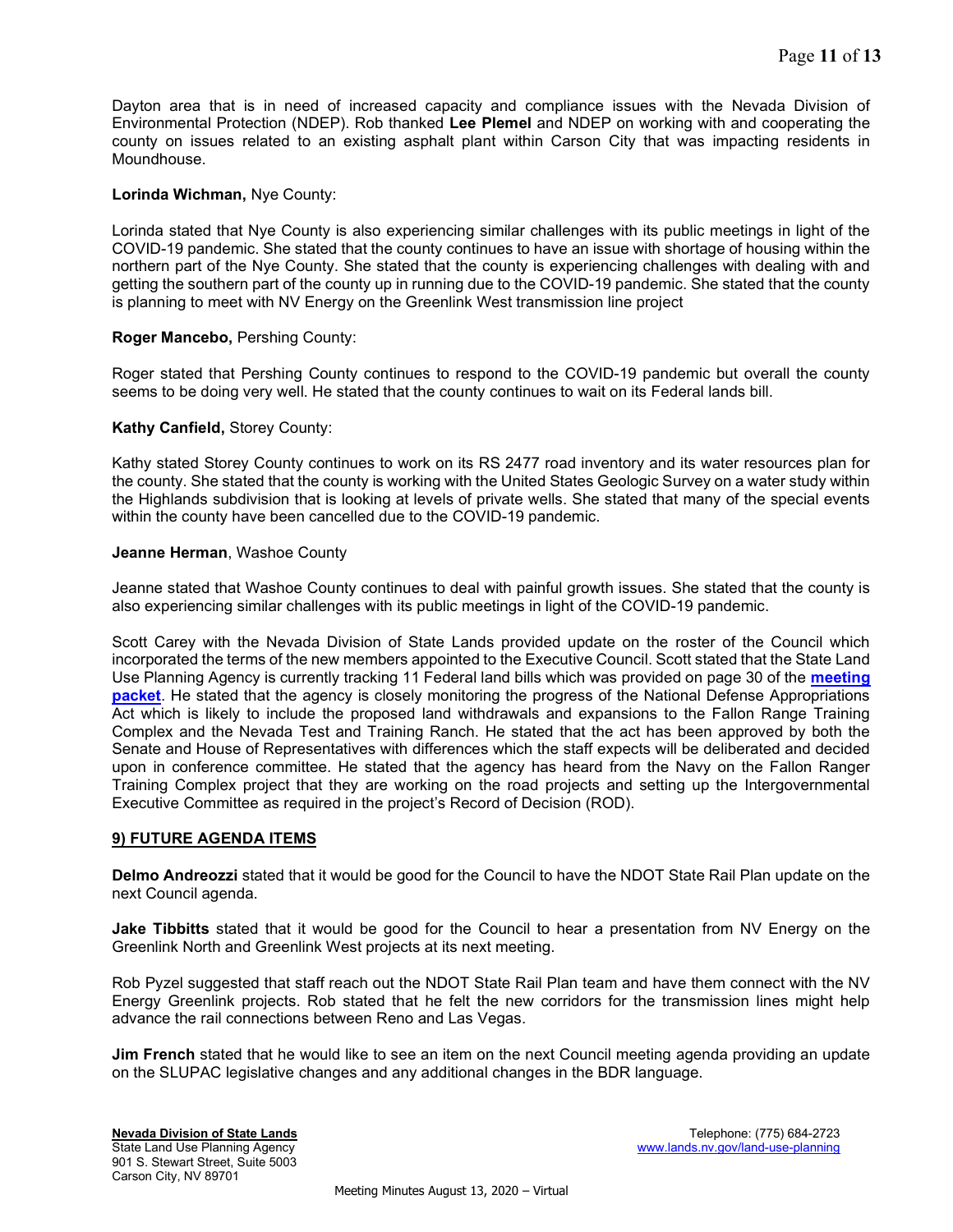Dayton area that is in need of increased capacity and compliance issues with the Nevada Division of Environmental Protection (NDEP). Rob thanked Lee Plemel and NDEP on working with and cooperating the county on issues related to an existing asphalt plant within Carson City that was impacting residents in Moundhouse.

# Lorinda Wichman, Nye County:

Lorinda stated that Nye County is also experiencing similar challenges with its public meetings in light of the COVID-19 pandemic. She stated that the county continues to have an issue with shortage of housing within the northern part of the Nye County. She stated that the county is experiencing challenges with dealing with and getting the southern part of the county up in running due to the COVID-19 pandemic. She stated that the county is planning to meet with NV Energy on the Greenlink West transmission line project

# Roger Mancebo, Pershing County:

Roger stated that Pershing County continues to respond to the COVID-19 pandemic but overall the county seems to be doing very well. He stated that the county continues to wait on its Federal lands bill.

# Kathy Canfield, Storey County:

Kathy stated Storey County continues to work on its RS 2477 road inventory and its water resources plan for the county. She stated that the county is working with the United States Geologic Survey on a water study within the Highlands subdivision that is looking at levels of private wells. She stated that many of the special events within the county have been cancelled due to the COVID-19 pandemic.

# Jeanne Herman, Washoe County

Jeanne stated that Washoe County continues to deal with painful growth issues. She stated that the county is also experiencing similar challenges with its public meetings in light of the COVID-19 pandemic.

Scott Carey with the Nevada Division of State Lands provided update on the roster of the Council which incorporated the terms of the new members appointed to the Executive Council. Scott stated that the State Land Use Planning Agency is currently tracking 11 Federal land bills which was provided on page 30 of the meeting packet. He stated that the agency is closely monitoring the progress of the National Defense Appropriations Act which is likely to include the proposed land withdrawals and expansions to the Fallon Range Training Complex and the Nevada Test and Training Ranch. He stated that the act has been approved by both the Senate and House of Representatives with differences which the staff expects will be deliberated and decided upon in conference committee. He stated that the agency has heard from the Navy on the Fallon Ranger Training Complex project that they are working on the road projects and setting up the Intergovernmental Executive Committee as required in the project's Record of Decision (ROD).

#### 9) FUTURE AGENDA ITEMS

Delmo Andreozzi stated that it would be good for the Council to have the NDOT State Rail Plan update on the next Council agenda.

**Jake Tibbitts** stated that it would be good for the Council to hear a presentation from NV Energy on the Greenlink North and Greenlink West projects at its next meeting.

Rob Pyzel suggested that staff reach out the NDOT State Rail Plan team and have them connect with the NV Energy Greenlink projects. Rob stated that he felt the new corridors for the transmission lines might help advance the rail connections between Reno and Las Vegas.

**Jim French** stated that he would like to see an item on the next Council meeting agenda providing an update on the SLUPAC legislative changes and any additional changes in the BDR language.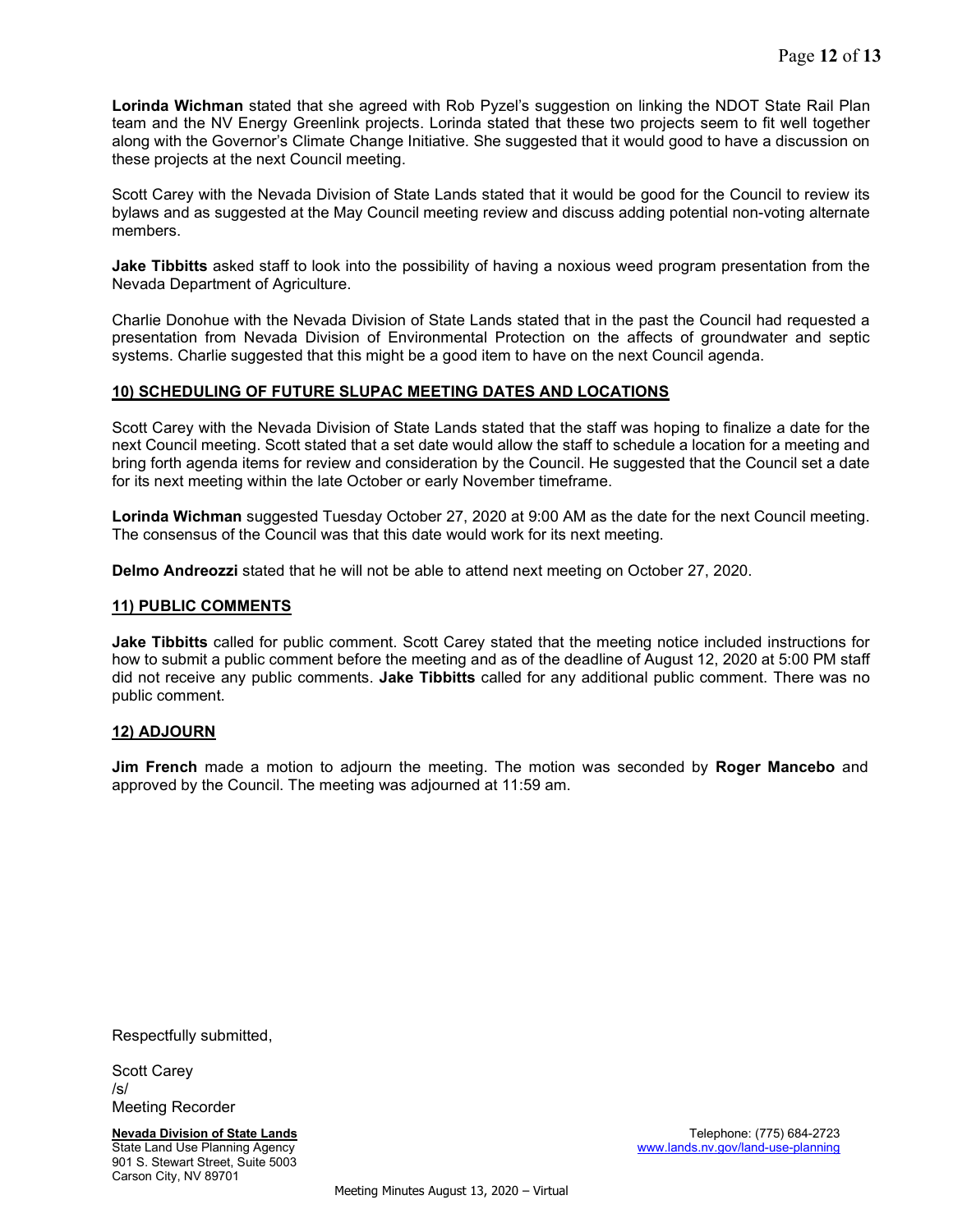Lorinda Wichman stated that she agreed with Rob Pyzel's suggestion on linking the NDOT State Rail Plan team and the NV Energy Greenlink projects. Lorinda stated that these two projects seem to fit well together along with the Governor's Climate Change Initiative. She suggested that it would good to have a discussion on these projects at the next Council meeting.

Scott Carey with the Nevada Division of State Lands stated that it would be good for the Council to review its bylaws and as suggested at the May Council meeting review and discuss adding potential non-voting alternate members.

**Jake Tibbitts** asked staff to look into the possibility of having a noxious weed program presentation from the Nevada Department of Agriculture.

Charlie Donohue with the Nevada Division of State Lands stated that in the past the Council had requested a presentation from Nevada Division of Environmental Protection on the affects of groundwater and septic systems. Charlie suggested that this might be a good item to have on the next Council agenda.

# 10) SCHEDULING OF FUTURE SLUPAC MEETING DATES AND LOCATIONS

Scott Carey with the Nevada Division of State Lands stated that the staff was hoping to finalize a date for the next Council meeting. Scott stated that a set date would allow the staff to schedule a location for a meeting and bring forth agenda items for review and consideration by the Council. He suggested that the Council set a date for its next meeting within the late October or early November timeframe.

Lorinda Wichman suggested Tuesday October 27, 2020 at 9:00 AM as the date for the next Council meeting. The consensus of the Council was that this date would work for its next meeting.

Delmo Andreozzi stated that he will not be able to attend next meeting on October 27, 2020.

#### 11) PUBLIC COMMENTS

Jake Tibbitts called for public comment. Scott Carey stated that the meeting notice included instructions for how to submit a public comment before the meeting and as of the deadline of August 12, 2020 at 5:00 PM staff did not receive any public comments. Jake Tibbitts called for any additional public comment. There was no public comment.

#### 12) ADJOURN

**Jim French** made a motion to adjourn the meeting. The motion was seconded by **Roger Mancebo** and approved by the Council. The meeting was adjourned at 11:59 am.

Respectfully submitted,

Scott Carey /s/ Meeting Recorder

901 S. Stewart Street, Suite 5003 Carson City, NV 89701